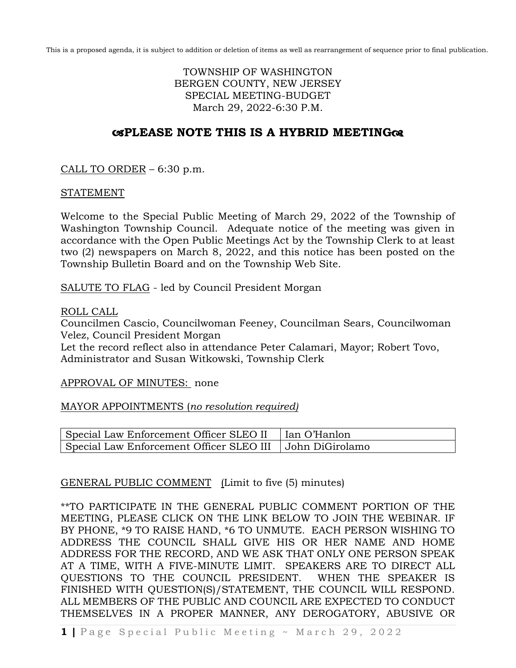This is a proposed agenda, it is subject to addition or deletion of items as well as rearrangement of sequence prior to final publication.

## TOWNSHIP OF WASHINGTON BERGEN COUNTY, NEW JERSEY SPECIAL MEETING-BUDGET March 29, 2022-6:30 P.M.

## **PLEASE NOTE THIS IS A HYBRID MEETING**

CALL TO ORDER – 6:30 p.m.

## STATEMENT

Welcome to the Special Public Meeting of March 29, 2022 of the Township of Washington Township Council. Adequate notice of the meeting was given in accordance with the Open Public Meetings Act by the Township Clerk to at least two (2) newspapers on March 8, 2022, and this notice has been posted on the Township Bulletin Board and on the Township Web Site.

SALUTE TO FLAG - led by Council President Morgan

ROLL CALL

Councilmen Cascio, Councilwoman Feeney, Councilman Sears, Councilwoman Velez, Council President Morgan

Let the record reflect also in attendance Peter Calamari, Mayor; Robert Tovo, Administrator and Susan Witkowski, Township Clerk

APPROVAL OF MINUTES: none

MAYOR APPOINTMENTS (*no resolution required)*

| Special Law Enforcement Officer SLEO II                    | │ ∣Ian O'Hanlon |
|------------------------------------------------------------|-----------------|
| Special Law Enforcement Officer SLEO III   John DiGirolamo |                 |

## GENERAL PUBLIC COMMENT (Limit to five (5) minutes)

\*\*TO PARTICIPATE IN THE GENERAL PUBLIC COMMENT PORTION OF THE MEETING, PLEASE CLICK ON THE LINK BELOW TO JOIN THE WEBINAR. IF BY PHONE, \*9 TO RAISE HAND, \*6 TO UNMUTE. EACH PERSON WISHING TO ADDRESS THE COUNCIL SHALL GIVE HIS OR HER NAME AND HOME ADDRESS FOR THE RECORD, AND WE ASK THAT ONLY ONE PERSON SPEAK AT A TIME, WITH A FIVE-MINUTE LIMIT. SPEAKERS ARE TO DIRECT ALL QUESTIONS TO THE COUNCIL PRESIDENT. WHEN THE SPEAKER IS FINISHED WITH QUESTION(S)/STATEMENT, THE COUNCIL WILL RESPOND. ALL MEMBERS OF THE PUBLIC AND COUNCIL ARE EXPECTED TO CONDUCT THEMSELVES IN A PROPER MANNER, ANY DEROGATORY, ABUSIVE OR